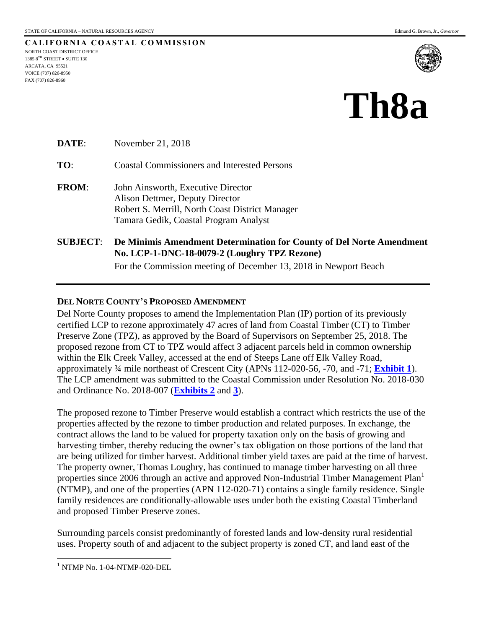**CALIFORNIA COASTAL COMMISSION** NORTH COAST DISTRICT OFFICE 1385  $8^{TH}$  STREET  $\bullet$  SUITE 130 ARCATA, CA 95521 VOICE (707) 826-8950 FAX (707) 826-8960



# **Th8a**

**DATE:** November 21, 2018 **TO**: Coastal Commissioners and Interested Persons **FROM**: John Ainsworth, Executive Director Alison Dettmer, Deputy Director Robert S. Merrill, North Coast District Manager Tamara Gedik, Coastal Program Analyst **SUBJECT**: **De Minimis Amendment Determination for County of Del Norte Amendment No. LCP-1-DNC-18-0079-2 (Loughry TPZ Rezone)**

For the Commission meeting of December 13, 2018 in Newport Beach

#### **DEL NORTE COUNTY'S PROPOSED AMENDMENT**

Del Norte County proposes to amend the Implementation Plan (IP) portion of its previously certified LCP to rezone approximately 47 acres of land from Coastal Timber (CT) to Timber Preserve Zone (TPZ), as approved by the Board of Supervisors on September 25, 2018. The proposed rezone from CT to TPZ would affect 3 adjacent parcels held in common ownership within the Elk Creek Valley, accessed at the end of Steeps Lane off Elk Valley Road, approximately ¾ mile northeast of Crescent City (APNs 112-020-56, -70, and -71; **[Exhibit 1](https://documents.coastal.ca.gov/reports/2018/12/th8a/th8a-12-2018-exhibits.pdf#page=2)**). The LCP amendment was submitted to the Coastal Commission under Resolution No. 2018-030 and Ordinance No. 2018-007 (**[Exhibits 2](https://documents.coastal.ca.gov/reports/2018/12/th8a/th8a-12-2018-exhibits.pdf#page=3)** and **[3](https://documents.coastal.ca.gov/reports/2018/12/th8a/th8a-12-2018-exhibits.pdf#page=4)**).

The proposed rezone to Timber Preserve would establish a contract which restricts the use of the properties affected by the rezone to timber production and related purposes. In exchange, the contract allows the land to be valued for property taxation only on the basis of growing and harvesting timber, thereby reducing the owner's tax obligation on those portions of the land that are being utilized for timber harvest. Additional timber yield taxes are paid at the time of harvest. The property owner, Thomas Loughry, has continued to manage timber harvesting on all three properties since 2006 through an active and approved Non-Industrial Timber Management Plan<sup>1</sup> (NTMP), and one of the properties (APN 112-020-71) contains a single family residence. Single family residences are conditionally-allowable uses under both the existing Coastal Timberland and proposed Timber Preserve zones.

Surrounding parcels consist predominantly of forested lands and low-density rural residential uses. Property south of and adjacent to the subject property is zoned CT, and land east of the

 $\overline{a}$ 

 $1$  NTMP No. 1-04-NTMP-020-DEL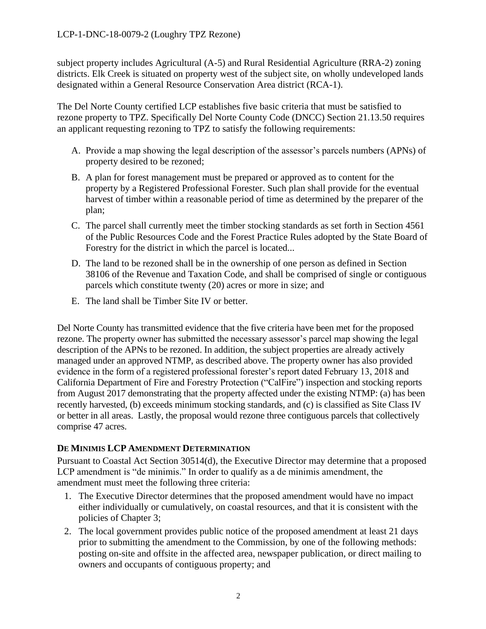subject property includes Agricultural (A-5) and Rural Residential Agriculture (RRA-2) zoning districts. Elk Creek is situated on property west of the subject site, on wholly undeveloped lands designated within a General Resource Conservation Area district (RCA-1).

The Del Norte County certified LCP establishes five basic criteria that must be satisfied to rezone property to TPZ. Specifically Del Norte County Code (DNCC) Section 21.13.50 requires an applicant requesting rezoning to TPZ to satisfy the following requirements:

- A. Provide a map showing the legal description of the assessor's parcels numbers (APNs) of property desired to be rezoned;
- B. A plan for forest management must be prepared or approved as to content for the property by a Registered Professional Forester. Such plan shall provide for the eventual harvest of timber within a reasonable period of time as determined by the preparer of the plan;
- C. The parcel shall currently meet the timber stocking standards as set forth in Section 4561 of the Public Resources Code and the Forest Practice Rules adopted by the State Board of Forestry for the district in which the parcel is located...
- D. The land to be rezoned shall be in the ownership of one person as defined in Section 38106 of the Revenue and Taxation Code, and shall be comprised of single or contiguous parcels which constitute twenty (20) acres or more in size; and
- E. The land shall be Timber Site IV or better.

Del Norte County has transmitted evidence that the five criteria have been met for the proposed rezone. The property owner has submitted the necessary assessor's parcel map showing the legal description of the APNs to be rezoned. In addition, the subject properties are already actively managed under an approved NTMP, as described above. The property owner has also provided evidence in the form of a registered professional forester's report dated February 13, 2018 and California Department of Fire and Forestry Protection ("CalFire") inspection and stocking reports from August 2017 demonstrating that the property affected under the existing NTMP: (a) has been recently harvested, (b) exceeds minimum stocking standards, and (c) is classified as Site Class IV or better in all areas. Lastly, the proposal would rezone three contiguous parcels that collectively comprise 47 acres.

# **DE MINIMIS LCP AMENDMENT DETERMINATION**

Pursuant to Coastal Act Section 30514(d), the Executive Director may determine that a proposed LCP amendment is "de minimis." In order to qualify as a de minimis amendment, the amendment must meet the following three criteria:

- 1. The Executive Director determines that the proposed amendment would have no impact either individually or cumulatively, on coastal resources, and that it is consistent with the policies of Chapter 3;
- 2. The local government provides public notice of the proposed amendment at least 21 days prior to submitting the amendment to the Commission, by one of the following methods: posting on-site and offsite in the affected area, newspaper publication, or direct mailing to owners and occupants of contiguous property; and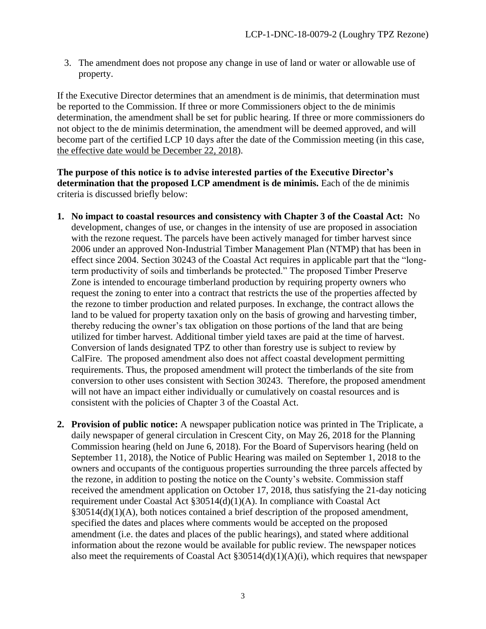3. The amendment does not propose any change in use of land or water or allowable use of property.

If the Executive Director determines that an amendment is de minimis, that determination must be reported to the Commission. If three or more Commissioners object to the de minimis determination, the amendment shall be set for public hearing. If three or more commissioners do not object to the de minimis determination, the amendment will be deemed approved, and will become part of the certified LCP 10 days after the date of the Commission meeting (in this case, the effective date would be December 22, 2018).

**The purpose of this notice is to advise interested parties of the Executive Director's determination that the proposed LCP amendment is de minimis.** Each of the de minimis criteria is discussed briefly below:

- **1. No impact to coastal resources and consistency with Chapter 3 of the Coastal Act:** No development, changes of use, or changes in the intensity of use are proposed in association with the rezone request. The parcels have been actively managed for timber harvest since 2006 under an approved Non-Industrial Timber Management Plan (NTMP) that has been in effect since 2004. Section 30243 of the Coastal Act requires in applicable part that the "longterm productivity of soils and timberlands be protected." The proposed Timber Preserve Zone is intended to encourage timberland production by requiring property owners who request the zoning to enter into a contract that restricts the use of the properties affected by the rezone to timber production and related purposes. In exchange, the contract allows the land to be valued for property taxation only on the basis of growing and harvesting timber, thereby reducing the owner's tax obligation on those portions of the land that are being utilized for timber harvest. Additional timber yield taxes are paid at the time of harvest. Conversion of lands designated TPZ to other than forestry use is subject to review by CalFire. The proposed amendment also does not affect coastal development permitting requirements. Thus, the proposed amendment will protect the timberlands of the site from conversion to other uses consistent with Section 30243. Therefore, the proposed amendment will not have an impact either individually or cumulatively on coastal resources and is consistent with the policies of Chapter 3 of the Coastal Act.
- **2. Provision of public notice:** A newspaper publication notice was printed in The Triplicate, a daily newspaper of general circulation in Crescent City, on May 26, 2018 for the Planning Commission hearing (held on June 6, 2018). For the Board of Supervisors hearing (held on September 11, 2018), the Notice of Public Hearing was mailed on September 1, 2018 to the owners and occupants of the contiguous properties surrounding the three parcels affected by the rezone, in addition to posting the notice on the County's website. Commission staff received the amendment application on October 17, 2018, thus satisfying the 21-day noticing requirement under Coastal Act §30514(d)(1)(A). In compliance with Coastal Act §30514(d)(1)(A), both notices contained a brief description of the proposed amendment, specified the dates and places where comments would be accepted on the proposed amendment (i.e. the dates and places of the public hearings), and stated where additional information about the rezone would be available for public review. The newspaper notices also meet the requirements of Coastal Act §30514(d)(1)(A)(i), which requires that newspaper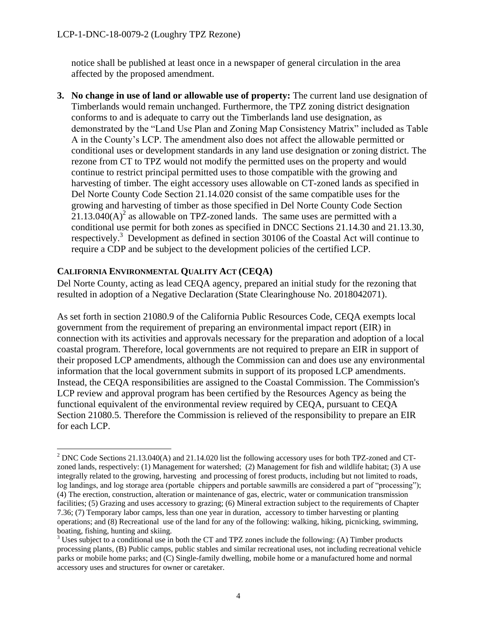notice shall be published at least once in a newspaper of general circulation in the area affected by the proposed amendment.

**3. No change in use of land or allowable use of property:** The current land use designation of Timberlands would remain unchanged. Furthermore, the TPZ zoning district designation conforms to and is adequate to carry out the Timberlands land use designation, as demonstrated by the "Land Use Plan and Zoning Map Consistency Matrix" included as Table A in the County's LCP. The amendment also does not affect the allowable permitted or conditional uses or development standards in any land use designation or zoning district. The rezone from CT to TPZ would not modify the permitted uses on the property and would continue to restrict principal permitted uses to those compatible with the growing and harvesting of timber. The eight accessory uses allowable on CT-zoned lands as specified in Del Norte County Code Section 21.14.020 consist of the same compatible uses for the growing and harvesting of timber as those specified in Del Norte County Code Section  $21.13.040(A)^2$  as allowable on TPZ-zoned lands. The same uses are permitted with a conditional use permit for both zones as specified in DNCC Sections 21.14.30 and 21.13.30, respectively.<sup>3</sup> Development as defined in section 30106 of the Coastal Act will continue to require a CDP and be subject to the development policies of the certified LCP.

## **CALIFORNIA ENVIRONMENTAL QUALITY ACT (CEQA)**

 $\overline{a}$ 

Del Norte County, acting as lead CEQA agency, prepared an initial study for the rezoning that resulted in adoption of a Negative Declaration (State Clearinghouse No. 2018042071).

As set forth in section 21080.9 of the California Public Resources Code, CEQA exempts local government from the requirement of preparing an environmental impact report (EIR) in connection with its activities and approvals necessary for the preparation and adoption of a local coastal program. Therefore, local governments are not required to prepare an EIR in support of their proposed LCP amendments, although the Commission can and does use any environmental information that the local government submits in support of its proposed LCP amendments. Instead, the CEQA responsibilities are assigned to the Coastal Commission. The Commission's LCP review and approval program has been certified by the Resources Agency as being the functional equivalent of the environmental review required by CEQA, pursuant to CEQA Section 21080.5. Therefore the Commission is relieved of the responsibility to prepare an EIR for each LCP.

<sup>&</sup>lt;sup>2</sup> DNC Code Sections 21.13.040(A) and 21.14.020 list the following accessory uses for both TPZ-zoned and CTzoned lands, respectively: (1) Management for watershed; (2) Management for fish and wildlife habitat; (3) A use integrally related to the growing, harvesting and processing of forest products, including but not limited to roads, log landings, and log storage area (portable chippers and portable sawmills are considered a part of "processing"); (4) The erection, construction, alteration or maintenance of gas, electric, water or communication transmission facilities; (5) Grazing and uses accessory to grazing; (6) Mineral extraction subject to the requirements of Chapter 7.36; (7) Temporary labor camps, less than one year in duration, accessory to timber harvesting or planting operations; and (8) Recreational use of the land for any of the following: walking, hiking, picnicking, swimming, boating, fishing, hunting and skiing.

<sup>3</sup> Uses subject to a conditional use in both the CT and TPZ zones include the following: (A) Timber products processing plants, (B) Public camps, public stables and similar recreational uses, not including recreational vehicle parks or mobile home parks; and (C) Single-family dwelling, mobile home or a manufactured home and normal accessory uses and structures for owner or caretaker.